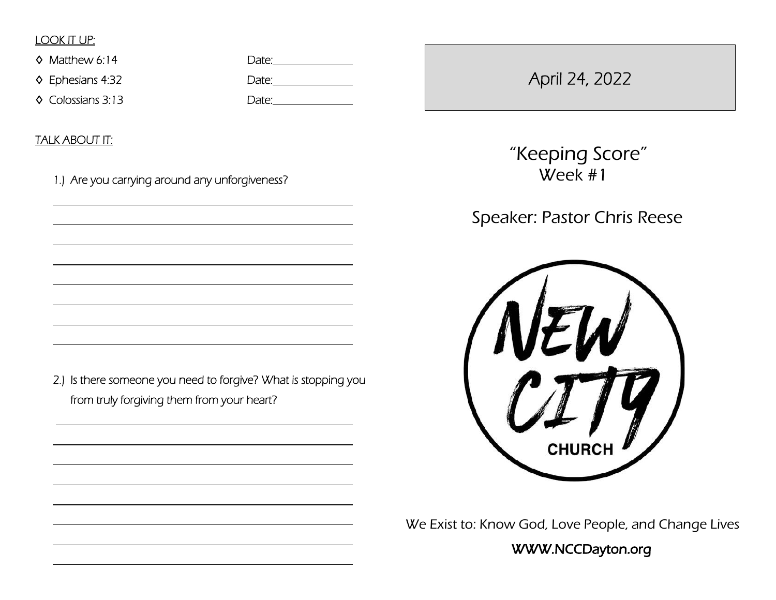## LOOK IT UP:

◊ Matthew 6:14 Date:

◊ Colossians 3:13 Date:

◊ Ephesians 4:32 Date:

TALK ABOUT IT:

 $\overline{a}$ 

 $\overline{a}$ 

 $\overline{a}$ 

 $\overline{a}$ 

 $\overline{a}$ 

 $\overline{a}$ 

 $\overline{a}$ 

 $\overline{a}$ 

 $\overline{a}$ 

 $\overline{a}$ 

 $\overline{a}$ 

 $\overline{a}$ 

 $\overline{a}$ 

 $\overline{a}$ 

 $\overline{a}$ 

1.) Are you carrying around any unforgiveness?

April 24, 2022

 "Keeping Score" Week #1

Speaker: Pastor Chris Reese



We Exist to: Know God, Love People, and Change Lives

WWW.NCCDayton.org

2.) Is there someone you need to forgive? What is stopping you from truly forgiving them from your heart?